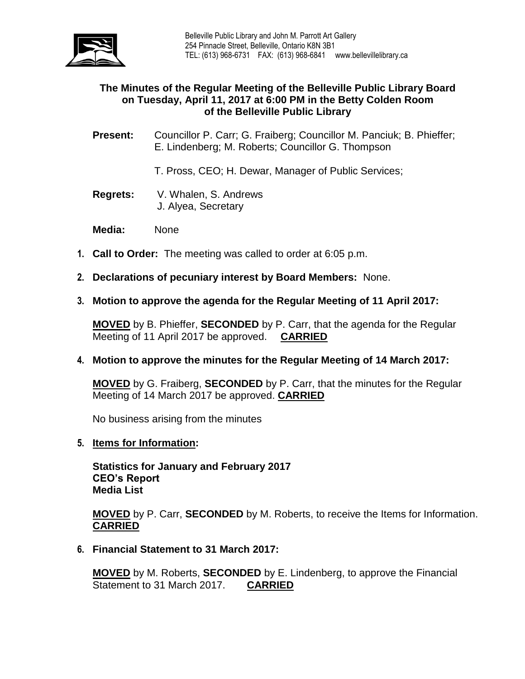

## **The Minutes of the Regular Meeting of the Belleville Public Library Board on Tuesday, April 11, 2017 at 6:00 PM in the Betty Colden Room of the Belleville Public Library**

**Present:** Councillor P. Carr; G. Fraiberg; Councillor M. Panciuk; B. Phieffer; E. Lindenberg; M. Roberts; Councillor G. Thompson

T. Pross, CEO; H. Dewar, Manager of Public Services;

- **Regrets:** V. Whalen, S. Andrews J. Alyea, Secretary
- **Media:** None
- **1. Call to Order:** The meeting was called to order at 6:05 p.m.
- **2. Declarations of pecuniary interest by Board Members:** None.
- **3. Motion to approve the agenda for the Regular Meeting of 11 April 2017:**

**MOVED** by B. Phieffer, **SECONDED** by P. Carr, that the agenda for the Regular Meeting of 11 April 2017 be approved. **CARRIED**

## **4. Motion to approve the minutes for the Regular Meeting of 14 March 2017:**

**MOVED** by G. Fraiberg, **SECONDED** by P. Carr, that the minutes for the Regular Meeting of 14 March 2017 be approved. **CARRIED**

No business arising from the minutes

**5. Items for Information:**

**Statistics for January and February 2017 CEO's Report Media List**

**MOVED** by P. Carr, **SECONDED** by M. Roberts, to receive the Items for Information. **CARRIED**

**6. Financial Statement to 31 March 2017:**

**MOVED** by M. Roberts, **SECONDED** by E. Lindenberg, to approve the Financial Statement to 31 March 2017. **CARRIED**